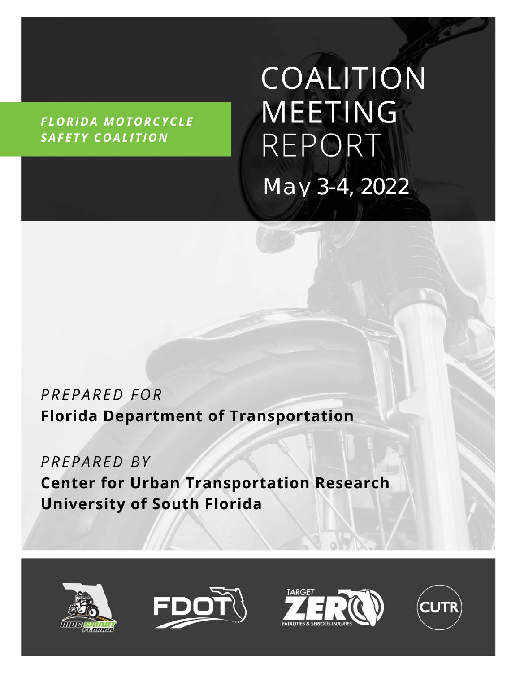**FLORIDA MOTORCYCLE** SAFETY COALITION

COALITION **MEETING** REPORT *May 3-4, 2022*

## PREPARED FOR **Florida Department of Transportation**

PREPARED BY **Center for Urban Transportation Research University of South Florida** 







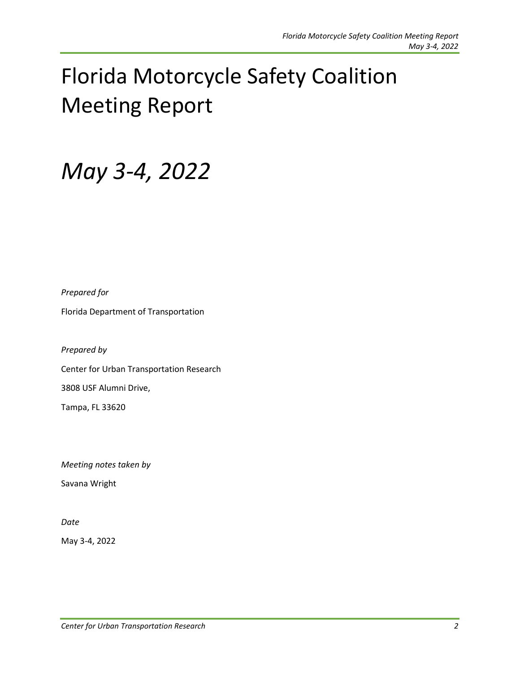# Florida Motorcycle Safety Coalition Meeting Report

## *May 3-4, 2022*

*Prepared for*

Florida Department of Transportation

*Prepared by*

Center for Urban Transportation Research

3808 USF Alumni Drive,

Tampa, FL 33620

*Meeting notes taken by*

Savana Wright

*Date*

May 3-4, 2022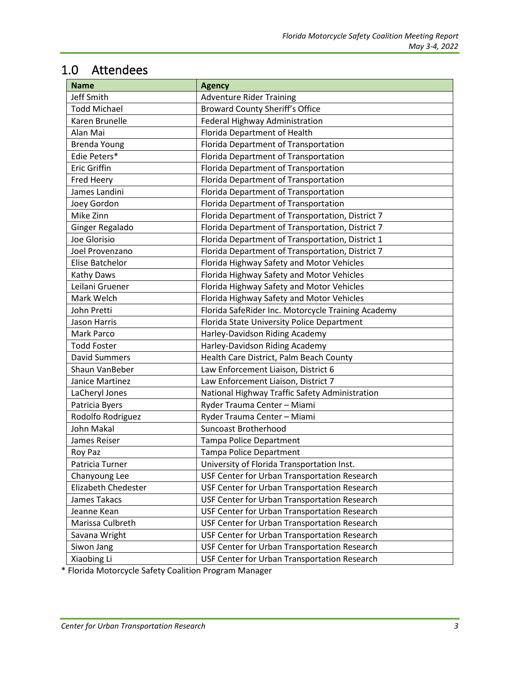## 1.0 Attendees

| <b>Name</b>          | <b>Agency</b>                                      |
|----------------------|----------------------------------------------------|
| Jeff Smith           | <b>Adventure Rider Training</b>                    |
| <b>Todd Michael</b>  | <b>Broward County Sheriff's Office</b>             |
| Karen Brunelle       | Federal Highway Administration                     |
| Alan Mai             | Florida Department of Health                       |
| <b>Brenda Young</b>  | Florida Department of Transportation               |
| Edie Peters*         | Florida Department of Transportation               |
| <b>Eric Griffin</b>  | Florida Department of Transportation               |
| <b>Fred Heery</b>    | Florida Department of Transportation               |
| James Landini        | Florida Department of Transportation               |
| Joey Gordon          | Florida Department of Transportation               |
| Mike Zinn            | Florida Department of Transportation, District 7   |
| Ginger Regalado      | Florida Department of Transportation, District 7   |
| Joe Glorisio         | Florida Department of Transportation, District 1   |
| Joel Provenzano      | Florida Department of Transportation, District 7   |
| Elise Batchelor      | Florida Highway Safety and Motor Vehicles          |
| Kathy Daws           | Florida Highway Safety and Motor Vehicles          |
| Leilani Gruener      | Florida Highway Safety and Motor Vehicles          |
| Mark Welch           | Florida Highway Safety and Motor Vehicles          |
| John Pretti          | Florida SafeRider Inc. Motorcycle Training Academy |
| <b>Jason Harris</b>  | Florida State University Police Department         |
| Mark Parco           | Harley-Davidson Riding Academy                     |
| <b>Todd Foster</b>   | Harley-Davidson Riding Academy                     |
| <b>David Summers</b> | Health Care District, Palm Beach County            |
| Shaun VanBeber       | Law Enforcement Liaison, District 6                |
| Janice Martinez      | Law Enforcement Liaison, District 7                |
| LaCheryl Jones       | National Highway Traffic Safety Administration     |
| Patricia Byers       | Ryder Trauma Center - Miami                        |
| Rodolfo Rodriguez    | Ryder Trauma Center - Miami                        |
| John Makal           | <b>Suncoast Brotherhood</b>                        |
| James Reiser         | <b>Tampa Police Department</b>                     |
| Roy Paz              | Tampa Police Department                            |
| Patricia Turner      | University of Florida Transportation Inst.         |
| Chanyoung Lee        | USF Center for Urban Transportation Research       |
| Elizabeth Chedester  | USF Center for Urban Transportation Research       |
| James Takacs         | USF Center for Urban Transportation Research       |
| Jeanne Kean          | USF Center for Urban Transportation Research       |
| Marissa Culbreth     | USF Center for Urban Transportation Research       |
| Savana Wright        | USF Center for Urban Transportation Research       |
| Siwon Jang           | USF Center for Urban Transportation Research       |
| Xiaobing Li          | USF Center for Urban Transportation Research       |

\* Florida Motorcycle Safety Coalition Program Manager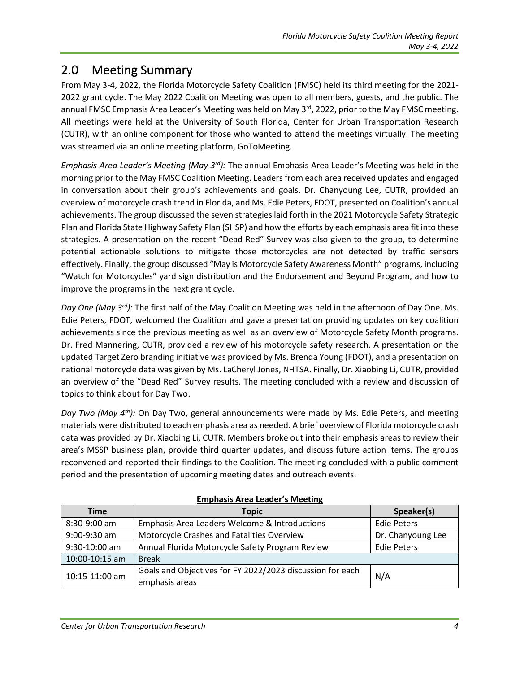## 2.0 Meeting Summary

From May 3-4, 2022, the Florida Motorcycle Safety Coalition (FMSC) held its third meeting for the 2021- 2022 grant cycle. The May 2022 Coalition Meeting was open to all members, guests, and the public. The annual FMSC Emphasis Area Leader's Meeting was held on May 3<sup>rd</sup>, 2022, prior to the May FMSC meeting. All meetings were held at the University of South Florida, Center for Urban Transportation Research (CUTR), with an online component for those who wanted to attend the meetings virtually. The meeting was streamed via an online meeting platform, GoToMeeting.

*Emphasis Area Leader's Meeting (May 3rd):* The annual Emphasis Area Leader's Meeting was held in the morning prior to the May FMSC Coalition Meeting. Leaders from each area received updates and engaged in conversation about their group's achievements and goals. Dr. Chanyoung Lee, CUTR, provided an overview of motorcycle crash trend in Florida, and Ms. Edie Peters, FDOT, presented on Coalition's annual achievements. The group discussed the seven strategies laid forth in the 2021 Motorcycle Safety Strategic Plan and Florida State Highway Safety Plan (SHSP) and how the efforts by each emphasis area fit into these strategies. A presentation on the recent "Dead Red" Survey was also given to the group, to determine potential actionable solutions to mitigate those motorcycles are not detected by traffic sensors effectively. Finally, the group discussed "May is Motorcycle Safety Awareness Month" programs, including "Watch for Motorcycles" yard sign distribution and the Endorsement and Beyond Program, and how to improve the programs in the next grant cycle.

*Day One (May 3rd):* The first half of the May Coalition Meeting was held in the afternoon of Day One. Ms. Edie Peters, FDOT, welcomed the Coalition and gave a presentation providing updates on key coalition achievements since the previous meeting as well as an overview of Motorcycle Safety Month programs. Dr. Fred Mannering, CUTR, provided a review of his motorcycle safety research. A presentation on the updated Target Zero branding initiative was provided by Ms. Brenda Young (FDOT), and a presentation on national motorcycle data was given by Ms. LaCheryl Jones, NHTSA. Finally, Dr. Xiaobing Li, CUTR, provided an overview of the "Dead Red" Survey results. The meeting concluded with a review and discussion of topics to think about for Day Two.

*Day Two (May 4th):* On Day Two, general announcements were made by Ms. Edie Peters, and meeting materials were distributed to each emphasis area as needed. A brief overview of Florida motorcycle crash data was provided by Dr. Xiaobing Li, CUTR. Members broke out into their emphasis areas to review their area's MSSP business plan, provide third quarter updates, and discuss future action items. The groups reconvened and reported their findings to the Coalition. The meeting concluded with a public comment period and the presentation of upcoming meeting dates and outreach events.

| <b>Time</b>     | <b>Topic</b>                                              | Speaker(s)         |
|-----------------|-----------------------------------------------------------|--------------------|
|                 |                                                           |                    |
| 8:30-9:00 am    | Emphasis Area Leaders Welcome & Introductions             | <b>Edie Peters</b> |
| 9:00-9:30 am    | Motorcycle Crashes and Fatalities Overview                | Dr. Chanyoung Lee  |
| $9:30-10:00$ am | Annual Florida Motorcycle Safety Program Review           | <b>Edie Peters</b> |
| 10:00-10:15 am  | <b>Break</b>                                              |                    |
| 10:15-11:00 am  | Goals and Objectives for FY 2022/2023 discussion for each |                    |
|                 | emphasis areas                                            | N/A                |

#### **Emphasis Area Leader's Meeting**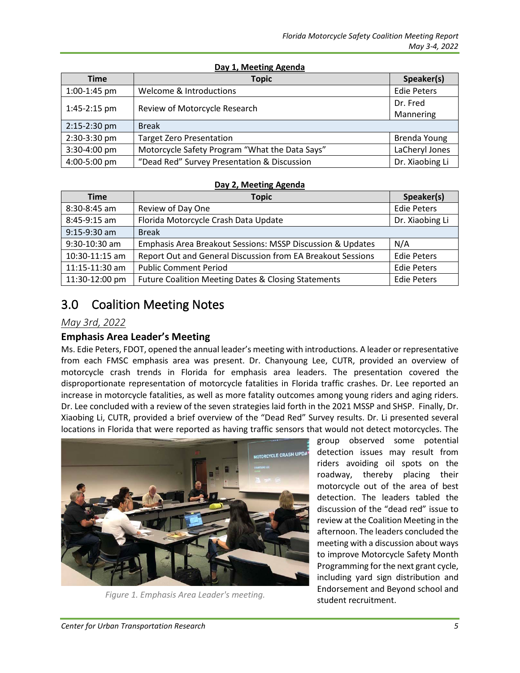| Day 1, Meeting Agenda |                                                |                    |  |  |
|-----------------------|------------------------------------------------|--------------------|--|--|
| Time                  | <b>Topic</b>                                   | Speaker(s)         |  |  |
| 1:00-1:45 pm          | Welcome & Introductions                        | <b>Edie Peters</b> |  |  |
| 1:45-2:15 pm          | Review of Motorcycle Research                  | Dr. Fred           |  |  |
|                       |                                                | Mannering          |  |  |
| 2:15-2:30 pm          | <b>Break</b>                                   |                    |  |  |
| 2:30-3:30 pm          | <b>Target Zero Presentation</b>                | Brenda Young       |  |  |
| 3:30-4:00 pm          | Motorcycle Safety Program "What the Data Says" | LaCheryl Jones     |  |  |
| 4:00-5:00 pm          | "Dead Red" Survey Presentation & Discussion    | Dr. Xiaobing Li    |  |  |

#### **Day 2, Meeting Agenda**

| <b>Time</b>      | <b>Topic</b>                                                | Speaker(s)         |
|------------------|-------------------------------------------------------------|--------------------|
| $8:30-8:45$ am   | Review of Day One                                           | <b>Edie Peters</b> |
| 8:45-9:15 am     | Florida Motorcycle Crash Data Update                        | Dr. Xiaobing Li    |
| 9:15-9:30 am     | <b>Break</b>                                                |                    |
| 9:30-10:30 am    | Emphasis Area Breakout Sessions: MSSP Discussion & Updates  | N/A                |
| $10:30-11:15$ am | Report Out and General Discussion from EA Breakout Sessions | <b>Edie Peters</b> |
| 11:15-11:30 am   | <b>Public Comment Period</b>                                | <b>Edie Peters</b> |
| 11:30-12:00 pm   | Future Coalition Meeting Dates & Closing Statements         | <b>Edie Peters</b> |

### 3.0 Coalition Meeting Notes

#### *May 3rd, 2022*

#### **Emphasis Area Leader's Meeting**

Ms. Edie Peters, FDOT, opened the annual leader's meeting with introductions. A leader or representative from each FMSC emphasis area was present. Dr. Chanyoung Lee, CUTR, provided an overview of motorcycle crash trends in Florida for emphasis area leaders. The presentation covered the disproportionate representation of motorcycle fatalities in Florida traffic crashes. Dr. Lee reported an increase in motorcycle fatalities, as well as more fatality outcomes among young riders and aging riders. Dr. Lee concluded with a review of the seven strategies laid forth in the 2021 MSSP and SHSP. Finally, Dr. Xiaobing Li, CUTR, provided a brief overview of the "Dead Red" Survey results. Dr. Li presented several locations in Florida that were reported as having traffic sensors that would not detect motorcycles. The



Figure 1. Emphasis Area Leader's meeting.<br>**student recruitment.** 

group observed some potential detection issues may result from riders avoiding oil spots on the roadway, thereby placing their motorcycle out of the area of best detection. The leaders tabled the discussion of the "dead red" issue to review at the Coalition Meeting in the afternoon. The leaders concluded the meeting with a discussion about ways to improve Motorcycle Safety Month Programming for the next grant cycle, including yard sign distribution and Endorsement and Beyond school and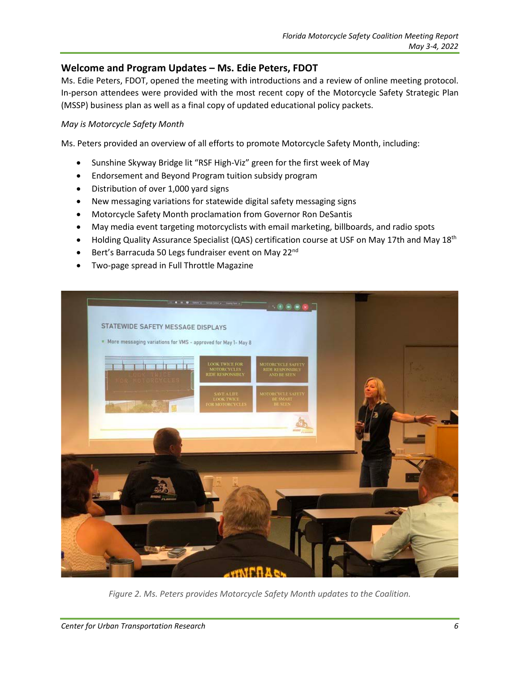#### **Welcome and Program Updates – Ms. Edie Peters, FDOT**

Ms. Edie Peters, FDOT, opened the meeting with introductions and a review of online meeting protocol. In-person attendees were provided with the most recent copy of the Motorcycle Safety Strategic Plan (MSSP) business plan as well as a final copy of updated educational policy packets.

#### *May is Motorcycle Safety Month*

Ms. Peters provided an overview of all efforts to promote Motorcycle Safety Month, including:

- Sunshine Skyway Bridge lit "RSF High-Viz" green for the first week of May
- Endorsement and Beyond Program tuition subsidy program
- Distribution of over 1,000 yard signs
- New messaging variations for statewide digital safety messaging signs
- Motorcycle Safety Month proclamation from Governor Ron DeSantis
- May media event targeting motorcyclists with email marketing, billboards, and radio spots
- Holding Quality Assurance Specialist (QAS) certification course at USF on May 17th and May 18<sup>th</sup>
- Bert's Barracuda 50 Legs fundraiser event on May 22<sup>nd</sup>
- Two-page spread in Full Throttle Magazine



*Figure 2. Ms. Peters provides Motorcycle Safety Month updates to the Coalition.*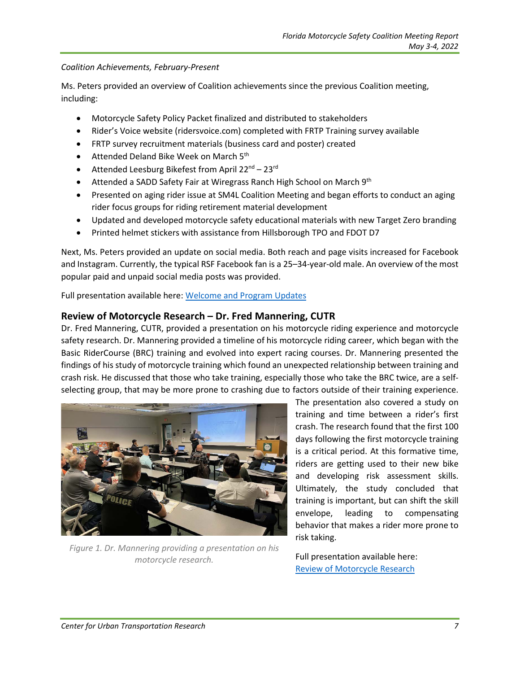#### *Coalition Achievements, February-Present*

Ms. Peters provided an overview of Coalition achievements since the previous Coalition meeting, including:

- Motorcycle Safety Policy Packet finalized and distributed to stakeholders
- Rider's Voice website (ridersvoice.com) completed with FRTP Training survey available
- FRTP survey recruitment materials (business card and poster) created
- Attended Deland Bike Week on March 5<sup>th</sup>
- Attended Leesburg Bikefest from April  $22^{nd} 23^{rd}$
- Attended a SADD Safety Fair at Wiregrass Ranch High School on March 9<sup>th</sup>
- Presented on aging rider issue at SM4L Coalition Meeting and began efforts to conduct an aging rider focus groups for riding retirement material development
- Updated and developed motorcycle safety educational materials with new Target Zero branding
- Printed helmet stickers with assistance from Hillsborough TPO and FDOT D7

Next, Ms. Peters provided an update on social media. Both reach and page visits increased for Facebook and Instagram. Currently, the typical RSF Facebook fan is a 25–34-year-old male. An overview of the most popular paid and unpaid social media posts was provided.

Full presentation available here: [Welcome and Program Updates](https://ridesmartflorida.com/download/may-2022-coalition-welcome-and-program-updates/)

#### **Review of Motorcycle Research – Dr. Fred Mannering, CUTR**

Dr. Fred Mannering, CUTR, provided a presentation on his motorcycle riding experience and motorcycle safety research. Dr. Mannering provided a timeline of his motorcycle riding career, which began with the Basic RiderCourse (BRC) training and evolved into expert racing courses. Dr. Mannering presented the findings of his study of motorcycle training which found an unexpected relationship between training and crash risk. He discussed that those who take training, especially those who take the BRC twice, are a selfselecting group, that may be more prone to crashing due to factors outside of their training experience.



*Figure 1. Dr. Mannering providing a presentation on his motorcycle research.*

The presentation also covered a study on training and time between a rider's first crash. The research found that the first 100 days following the first motorcycle training is a critical period. At this formative time, riders are getting used to their new bike and developing risk assessment skills. Ultimately, the study concluded that training is important, but can shift the skill envelope, leading to compensating behavior that makes a rider more prone to risk taking.

Full presentation available here: [Review of Motorcycle Research](https://ridesmartflorida.com/download/review-of-motorcycle-research/)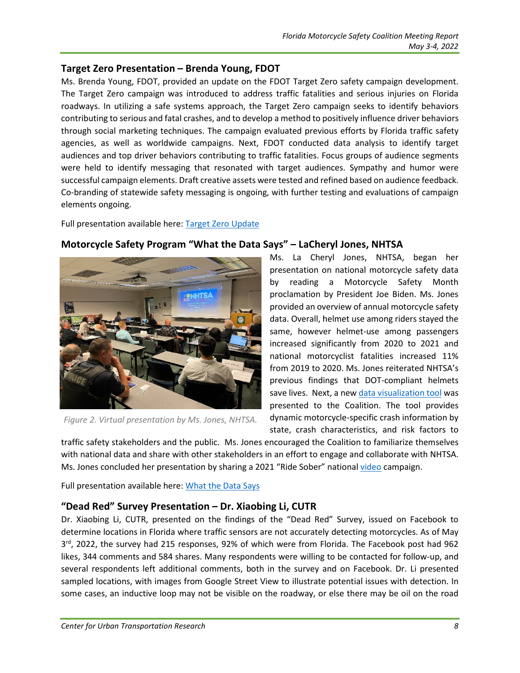#### **Target Zero Presentation – Brenda Young, FDOT**

Ms. Brenda Young, FDOT, provided an update on the FDOT Target Zero safety campaign development. The Target Zero campaign was introduced to address traffic fatalities and serious injuries on Florida roadways. In utilizing a safe systems approach, the Target Zero campaign seeks to identify behaviors contributing to serious and fatal crashes, and to develop a method to positively influence driver behaviors through social marketing techniques. The campaign evaluated previous efforts by Florida traffic safety agencies, as well as worldwide campaigns. Next, FDOT conducted data analysis to identify target audiences and top driver behaviors contributing to traffic fatalities. Focus groups of audience segments were held to identify messaging that resonated with target audiences. Sympathy and humor were successful campaign elements. Draft creative assets were tested and refined based on audience feedback. Co-branding of statewide safety messaging is ongoing, with further testing and evaluations of campaign elements ongoing.

Full presentation available here: [Target Zero Update](https://ridesmartflorida.com/download/target-zero-update/)



## **Motorcycle Safety Program "What the Data Says" – LaCheryl Jones, NHTSA**

Ms. La Cheryl Jones, NHTSA, began her presentation on national motorcycle safety data by reading a Motorcycle Safety Month proclamation by President Joe Biden. Ms. Jones provided an overview of annual motorcycle safety data. Overall, helmet use among riders stayed the same, however helmet-use among passengers increased significantly from 2020 to 2021 and national motorcyclist fatalities increased 11% from 2019 to 2020. Ms. Jones reiterated NHTSA's previous findings that DOT-compliant helmets save lives. Next, a ne[w data visualization tool](https://cdan.dot.gov/DataVisualization/DataVisualization.htm) was presented to the Coalition. The tool provides dynamic motorcycle-specific crash information by state, crash characteristics, and risk factors to

*Figure 2. Virtual presentation by Ms. Jones, NHTSA.*

traffic safety stakeholders and the public. Ms. Jones encouraged the Coalition to familiarize themselves with national data and share with other stakeholders in an effort to engage and collaborate with NHTSA. Ms. Jones concluded her presentation by sharing a 2021 "Ride Sober" nationa[l video](https://youtu.be/zs2bEibopPY) campaign.

Full presentation available here: [What the Data Says](https://ridesmartflorida.com/?post_type=wpdmpro&p=11862&preview=true)

#### **"Dead Red" Survey Presentation – Dr. Xiaobing Li, CUTR**

Dr. Xiaobing Li, CUTR, presented on the findings of the "Dead Red" Survey, issued on Facebook to determine locations in Florida where traffic sensors are not accurately detecting motorcycles. As of May  $3<sup>rd</sup>$ , 2022, the survey had 215 responses, 92% of which were from Florida. The Facebook post had 962 likes, 344 comments and 584 shares. Many respondents were willing to be contacted for follow-up, and several respondents left additional comments, both in the survey and on Facebook. Dr. Li presented sampled locations, with images from Google Street View to illustrate potential issues with detection. In some cases, an inductive loop may not be visible on the roadway, or else there may be oil on the road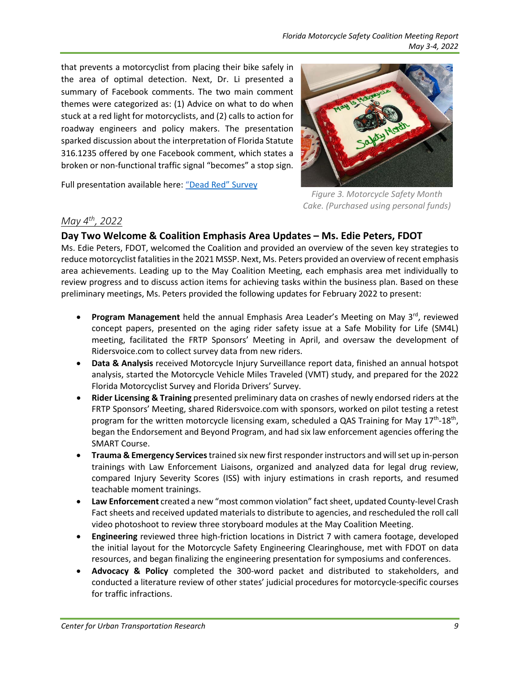that prevents a motorcyclist from placing their bike safely in the area of optimal detection. Next, Dr. Li presented a summary of Facebook comments. The two main comment themes were categorized as: (1) Advice on what to do when stuck at a red light for motorcyclists, and (2) calls to action for roadway engineers and policy makers. The presentation sparked discussion about the interpretation of Florida Statute 316.1235 offered by one Facebook comment, which states a broken or non-functional traffic signal "becomes" a stop sign.

Full presentation available here: ["Dead Red"](https://ridesmartflorida.com/?post_type=wpdmpro&p=11863&preview=true) Survey



*Figure 3. Motorcycle Safety Month Cake. (Purchased using personal funds)* 

#### *May 4th, 2022*

#### **Day Two Welcome & Coalition Emphasis Area Updates – Ms. Edie Peters, FDOT**

Ms. Edie Peters, FDOT, welcomed the Coalition and provided an overview of the seven key strategies to reduce motorcyclist fatalities in the 2021 MSSP. Next, Ms. Peters provided an overview ofrecent emphasis area achievements. Leading up to the May Coalition Meeting, each emphasis area met individually to review progress and to discuss action items for achieving tasks within the business plan. Based on these preliminary meetings, Ms. Peters provided the following updates for February 2022 to present:

- **Program Management** held the annual Emphasis Area Leader's Meeting on May 3<sup>rd</sup>, reviewed concept papers, presented on the aging rider safety issue at a Safe Mobility for Life (SM4L) meeting, facilitated the FRTP Sponsors' Meeting in April, and oversaw the development of Ridersvoice.com to collect survey data from new riders.
- **Data & Analysis** received Motorcycle Injury Surveillance report data, finished an annual hotspot analysis, started the Motorcycle Vehicle Miles Traveled (VMT) study, and prepared for the 2022 Florida Motorcyclist Survey and Florida Drivers' Survey.
- **Rider Licensing & Training** presented preliminary data on crashes of newly endorsed riders at the FRTP Sponsors' Meeting, shared Ridersvoice.com with sponsors, worked on pilot testing a retest program for the written motorcycle licensing exam, scheduled a QAS Training for May  $17<sup>th</sup>$ -18<sup>th</sup>, began the Endorsement and Beyond Program, and had six law enforcement agencies offering the SMART Course.
- **Trauma & Emergency Services** trained six new first responder instructors and will set up in-person trainings with Law Enforcement Liaisons, organized and analyzed data for legal drug review, compared Injury Severity Scores (ISS) with injury estimations in crash reports, and resumed teachable moment trainings.
- **Law Enforcement** created a new "most common violation" fact sheet, updated County-level Crash Fact sheets and received updated materials to distribute to agencies, and rescheduled the roll call video photoshoot to review three storyboard modules at the May Coalition Meeting.
- **Engineering** reviewed three high-friction locations in District 7 with camera footage, developed the initial layout for the Motorcycle Safety Engineering Clearinghouse, met with FDOT on data resources, and began finalizing the engineering presentation for symposiums and conferences.
- **Advocacy & Policy** completed the 300-word packet and distributed to stakeholders, and conducted a literature review of other states' judicial procedures for motorcycle-specific courses for traffic infractions.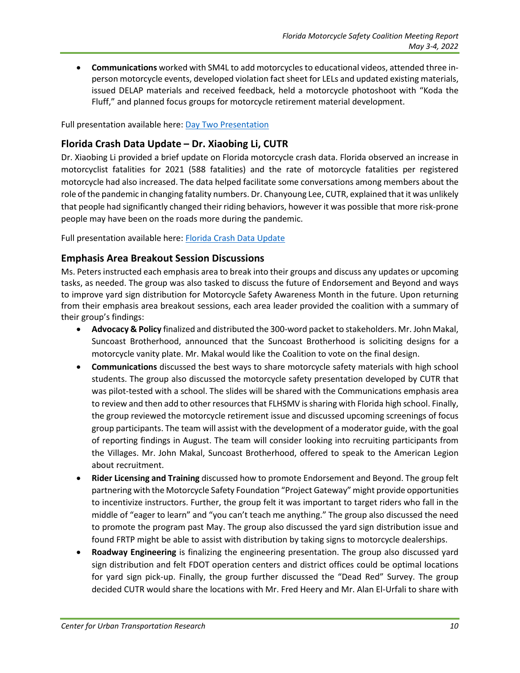• **Communications** worked with SM4L to add motorcycles to educational videos, attended three inperson motorcycle events, developed violation fact sheet for LELs and updated existing materials, issued DELAP materials and received feedback, held a motorcycle photoshoot with "Koda the Fluff," and planned focus groups for motorcycle retirement material development.

Full presentation available here: [Day Two Presentation](https://ridesmartflorida.com/download/day-2-coalition-presentation/)

#### **Florida Crash Data Update – Dr. Xiaobing Li, CUTR**

Dr. Xiaobing Li provided a brief update on Florida motorcycle crash data. Florida observed an increase in motorcyclist fatalities for 2021 (588 fatalities) and the rate of motorcycle fatalities per registered motorcycle had also increased. The data helped facilitate some conversations among members about the role of the pandemic in changing fatality numbers. Dr. Chanyoung Lee, CUTR, explained that it was unlikely that people had significantly changed their riding behaviors, however it was possible that more risk-prone people may have been on the roads more during the pandemic.

Full presentation available here: [Florida Crash Data Update](https://ridesmartflorida.com/?post_type=wpdmpro&p=11870&preview=true)

#### **Emphasis Area Breakout Session Discussions**

Ms. Peters instructed each emphasis area to break into their groups and discuss any updates or upcoming tasks, as needed. The group was also tasked to discuss the future of Endorsement and Beyond and ways to improve yard sign distribution for Motorcycle Safety Awareness Month in the future. Upon returning from their emphasis area breakout sessions, each area leader provided the coalition with a summary of their group's findings:

- **Advocacy & Policy** finalized and distributed the 300-word packet to stakeholders. Mr. John Makal, Suncoast Brotherhood, announced that the Suncoast Brotherhood is soliciting designs for a motorcycle vanity plate. Mr. Makal would like the Coalition to vote on the final design.
- **Communications** discussed the best ways to share motorcycle safety materials with high school students. The group also discussed the motorcycle safety presentation developed by CUTR that was pilot-tested with a school. The slides will be shared with the Communications emphasis area to review and then add to other resources that FLHSMV is sharing with Florida high school. Finally, the group reviewed the motorcycle retirement issue and discussed upcoming screenings of focus group participants. The team will assist with the development of a moderator guide, with the goal of reporting findings in August. The team will consider looking into recruiting participants from the Villages. Mr. John Makal, Suncoast Brotherhood, offered to speak to the American Legion about recruitment.
- **Rider Licensing and Training** discussed how to promote Endorsement and Beyond. The group felt partnering with the Motorcycle Safety Foundation "Project Gateway" might provide opportunities to incentivize instructors. Further, the group felt it was important to target riders who fall in the middle of "eager to learn" and "you can't teach me anything." The group also discussed the need to promote the program past May. The group also discussed the yard sign distribution issue and found FRTP might be able to assist with distribution by taking signs to motorcycle dealerships.
- **Roadway Engineering** is finalizing the engineering presentation. The group also discussed yard sign distribution and felt FDOT operation centers and district offices could be optimal locations for yard sign pick-up. Finally, the group further discussed the "Dead Red" Survey. The group decided CUTR would share the locations with Mr. Fred Heery and Mr. Alan El-Urfali to share with